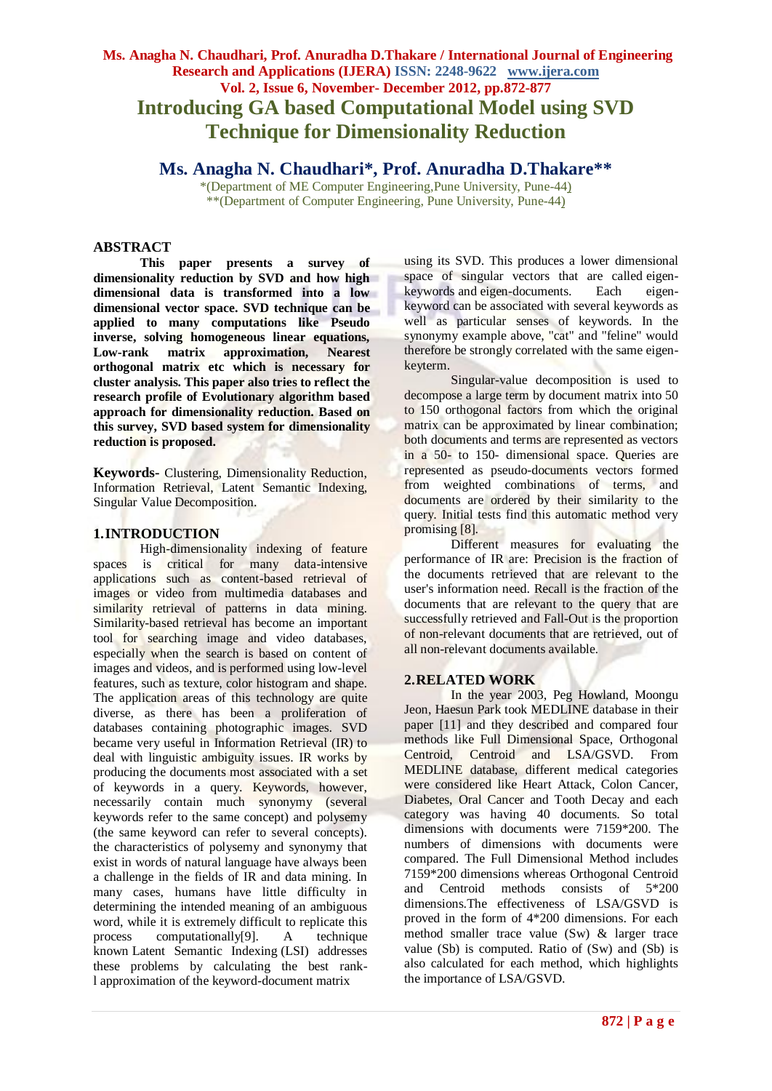# **Ms. Anagha N. Chaudhari, Prof. Anuradha D.Thakare / International Journal of Engineering Research and Applications (IJERA) ISSN: 2248-9622 www.ijera.com Vol. 2, Issue 6, November- December 2012, pp.872-877 Introducing GA based Computational Model using SVD Technique for Dimensionality Reduction**

# **Ms. Anagha N. Chaudhari\*, Prof. Anuradha D.Thakare\*\***

\*(Department of ME Computer Engineering,Pune University, Pune-44) \*\*(Department of Computer Engineering, Pune University, Pune-44)

## **ABSTRACT**

**This paper presents a survey of dimensionality reduction by SVD and how high dimensional data is transformed into a low dimensional vector space. SVD technique can be applied to many computations like Pseudo inverse, solving homogeneous linear equations, Low-rank matrix approximation, Nearest orthogonal matrix etc which is necessary for cluster analysis. This paper also tries to reflect the research profile of Evolutionary algorithm based approach for dimensionality reduction. Based on this survey, SVD based system for dimensionality reduction is proposed.**

**Keywords-** Clustering, Dimensionality Reduction, Information Retrieval, Latent Semantic Indexing, Singular Value Decomposition.

#### **1.INTRODUCTION**

High-dimensionality indexing of feature spaces is critical for many data-intensive applications such as content-based retrieval of images or video from multimedia databases and similarity retrieval of patterns in data mining. Similarity-based retrieval has become an important tool for searching image and video databases, especially when the search is based on content of images and videos, and is performed using low-level features, such as texture, color histogram and shape. The application areas of this technology are quite diverse, as there has been a proliferation of databases containing photographic images. SVD became very useful in Information Retrieval (IR) to deal with linguistic ambiguity issues. IR works by producing the documents most associated with a set of keywords in a query. Keywords, however, necessarily contain much synonymy (several keywords refer to the same concept) and polysemy (the same keyword can refer to several concepts). the characteristics of polysemy and synonymy that exist in words of natural language have always been a challenge in the fields of IR and data mining. In many cases, humans have little difficulty in determining the intended meaning of an ambiguous word, while it is extremely difficult to replicate this process computationally[9]. A technique known Latent Semantic Indexing (LSI) addresses these problems by calculating the best rankl approximation of the keyword-document matrix

using its SVD. This produces a lower dimensional space of singular vectors that are called eigenkeywords and eigen-documents. Each eigenkeyword can be associated with several keywords as well as particular senses of keywords. In the synonymy example above, "cat" and "feline" would therefore be strongly correlated with the same eigenkeyterm.

Singular-value decomposition is used to decompose a large term by document matrix into 50 to 150 orthogonal factors from which the original matrix can be approximated by linear combination; both documents and terms are represented as vectors in a 50- to 150- dimensional space. Queries are represented as pseudo-documents vectors formed from weighted combinations of terms, and documents are ordered by their similarity to the query. Initial tests find this automatic method very promising [8].

Different measures for evaluating the performance of IR are: Precision is the fraction of the documents retrieved that are relevant to the user's information need. Recall is the fraction of the documents that are relevant to the query that are successfully retrieved and Fall-Out is the proportion of non-relevant documents that are retrieved, out of all non-relevant documents available.

## **2.RELATED WORK**

In the year 2003, Peg Howland, Moongu Jeon, Haesun Park took MEDLINE database in their paper [11] and they described and compared four methods like Full Dimensional Space, Orthogonal Centroid, Centroid and LSA/GSVD. From MEDLINE database, different medical categories were considered like Heart Attack, Colon Cancer, Diabetes, Oral Cancer and Tooth Decay and each category was having 40 documents. So total dimensions with documents were 7159\*200. The numbers of dimensions with documents were compared. The Full Dimensional Method includes 7159\*200 dimensions whereas Orthogonal Centroid and Centroid methods consists of 5\*200 dimensions.The effectiveness of LSA/GSVD is proved in the form of 4\*200 dimensions. For each method smaller trace value (Sw) & larger trace value (Sb) is computed. Ratio of (Sw) and (Sb) is also calculated for each method, which highlights the importance of LSA/GSVD.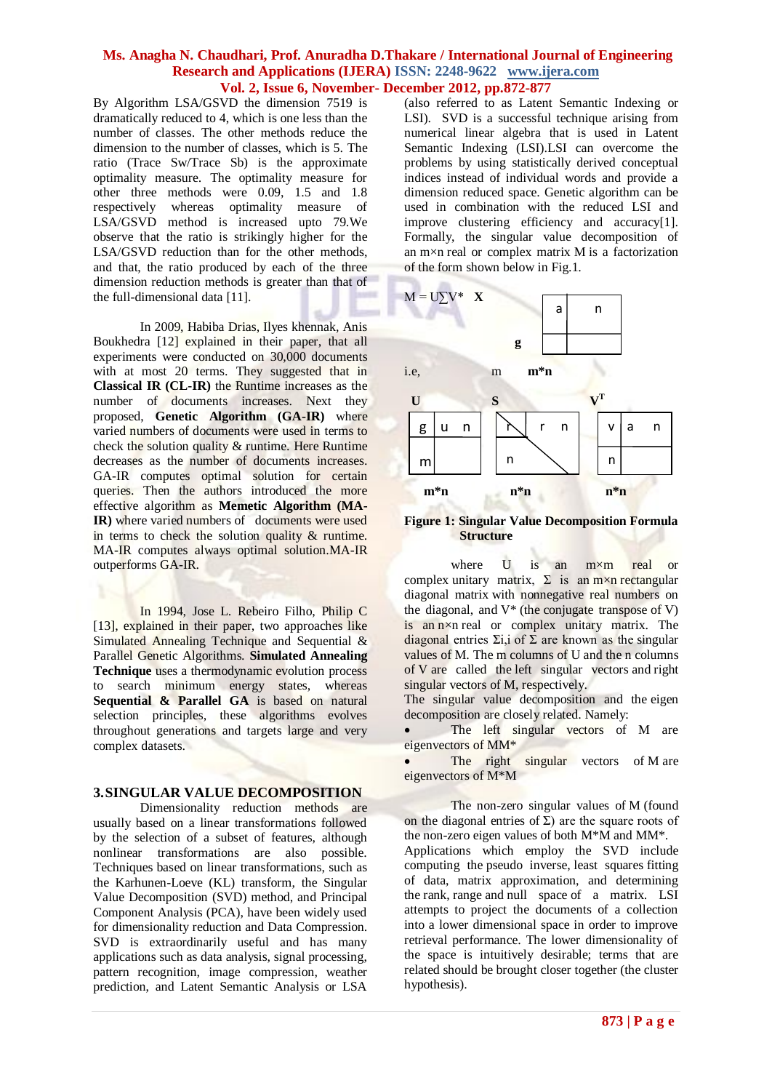By Algorithm LSA/GSVD the dimension 7519 is dramatically reduced to 4, which is one less than the number of classes. The other methods reduce the dimension to the number of classes, which is 5. The ratio (Trace Sw/Trace Sb) is the approximate optimality measure. The optimality measure for other three methods were 0.09, 1.5 and 1.8 respectively whereas optimality measure of LSA/GSVD method is increased upto 79.We observe that the ratio is strikingly higher for the LSA/GSVD reduction than for the other methods, and that, the ratio produced by each of the three dimension reduction methods is greater than that of the full-dimensional data [11].

In 2009, Habiba Drias, Ilyes khennak, Anis Boukhedra [12] explained in their paper, that all experiments were conducted on 30,000 documents with at most 20 terms. They suggested that in **Classical IR (CL-IR)** the Runtime increases as the number of documents increases. Next they proposed, **Genetic Algorithm (GA-IR)** where varied numbers of documents were used in terms to check the solution quality & runtime. Here Runtime decreases as the number of documents increases. GA-IR computes optimal solution for certain queries. Then the authors introduced the more effective algorithm as **Memetic Algorithm (MA-IR**) where varied numbers of documents were used in terms to check the solution quality  $\&$  runtime. MA-IR computes always optimal solution.MA-IR outperforms GA-IR.

In 1994, Jose L. Rebeiro Filho, Philip C [13], explained in their paper, two approaches like Simulated Annealing Technique and Sequential & Parallel Genetic Algorithms. **Simulated Annealing Technique** uses a thermodynamic evolution process to search minimum energy states, whereas **Sequential & Parallel GA** is based on natural selection principles, these algorithms evolves throughout generations and targets large and very complex datasets.

## **3.SINGULAR VALUE DECOMPOSITION**

Dimensionality reduction methods are usually based on a linear transformations followed by the selection of a subset of features, although nonlinear transformations are also possible. Techniques based on linear transformations, such as the Karhunen-Loeve (KL) transform, the Singular Value Decomposition (SVD) method, and Principal Component Analysis (PCA), have been widely used for dimensionality reduction and Data Compression. SVD is extraordinarily useful and has many applications such as data analysis, signal processing, pattern recognition, image compression, weather prediction, and Latent Semantic Analysis or LSA (also referred to as Latent Semantic Indexing or LSI). SVD is a successful technique arising from numerical linear algebra that is used in Latent Semantic Indexing (LSI).LSI can overcome the problems by using statistically derived conceptual indices instead of individual words and provide a dimension reduced space. Genetic algorithm can be used in combination with the reduced LSI and improve clustering efficiency and accuracy[1]. Formally, the singular value decomposition of an m×n real or complex matrix M is a factorization of the form shown below in Fig.1.



**Figure 1: Singular Value Decomposition Formula Structure**

where U is an m×m real or complex [unitary matrix,](http://en.wikipedia.org/wiki/Unitary_matrix)  $\Sigma$  is an m×n rectangular [diagonal matrix](http://en.wikipedia.org/wiki/Rectangular_diagonal_matrix) with nonnegative real numbers on the diagonal, and V\* (the [conjugate transpose](http://en.wikipedia.org/wiki/Conjugate_transpose) of V) is an n×n real or complex unitary matrix. The diagonal entries  $\Sigma$ i, i of  $\Sigma$  are known as the singular [values](http://en.wikipedia.org/wiki/Singular_value) of M. The m columns of U and the n columns of V are called the left singular vectors and right singular vectors of M, respectively.

The singular value decomposition and the [eigen](http://en.wikipedia.org/wiki/Eigendecomposition)  [decomposition](http://en.wikipedia.org/wiki/Eigendecomposition) are closely related. Namely:

• The left singular vectors of M are eigenvectors of MM\*

The right singular vectors of M are eigenvectors of M\*M

The non-zero singular values of M (found on the diagonal entries of  $\Sigma$ ) are the square roots of the non-zero [eigen values](http://en.wikipedia.org/wiki/Eigenvalues) of both M\*M and MM\*. Applications which employ the SVD include computing the [pseudo inverse,](http://en.wikipedia.org/wiki/Moore-Penrose_pseudoinverse) [least squares](http://en.wikipedia.org/wiki/Least_squares) fitting of data, matrix approximation, and determining the [rank,](http://en.wikipedia.org/wiki/Rank_of_a_matrix) [range](http://en.wikipedia.org/wiki/Range_of_a_matrix) and [null space](http://en.wikipedia.org/wiki/Kernel_(matrix)) of a matrix. LSI attempts to project the documents of a collection into a lower dimensional space in order to improve retrieval performance. The lower dimensionality of the space is intuitively desirable; terms that are related should be brought closer together (the cluster

hypothesis).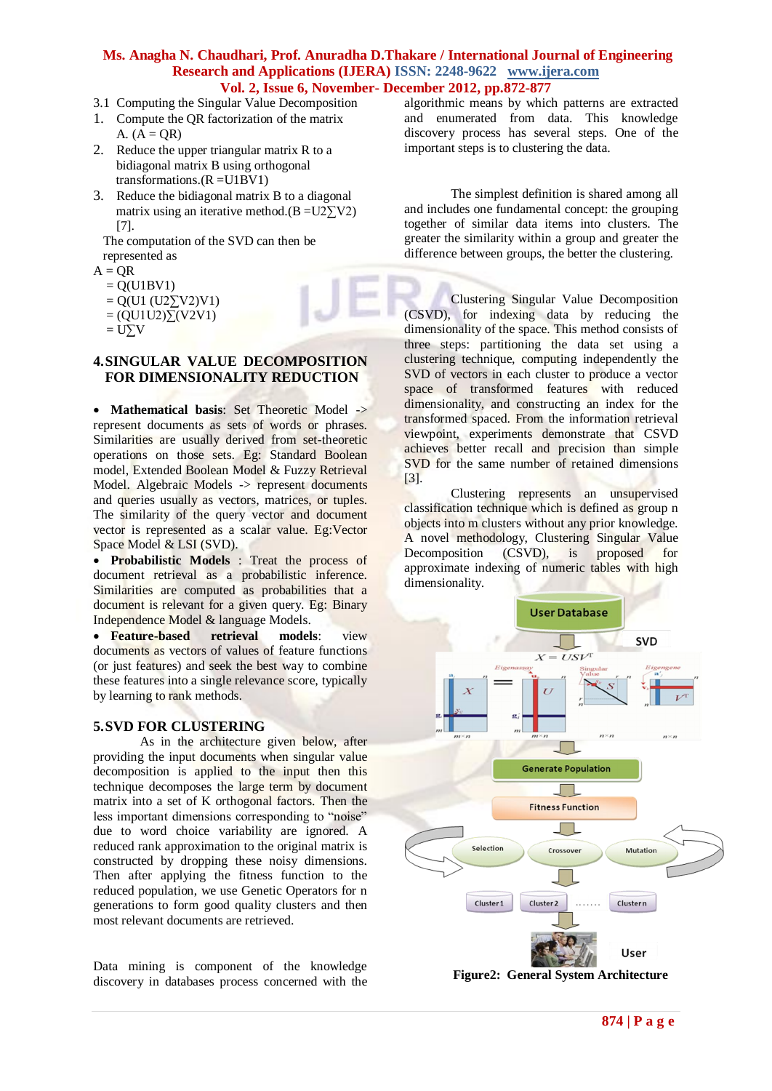- 3.1 Computing the Singular Value Decomposition
- 1. Compute the QR factorization of the matrix A.  $(A = QR)$
- 2. Reduce the upper triangular matrix R to a bidiagonal matrix B using orthogonal transformations. $(R = U1BV1)$
- 3. Reduce the bidiagonal matrix B to a diagonal matrix using an iterative method. $(B = U2\sum V2)$ [7].

 The computation of the SVD can then be represented as

- $A = OR$ 
	- $= Q(U1BV1)$
	- $= Q(U1 (U2)\nabla U2)V1)$
	- $=(QU1U2)\Sigma(V2V1)$
	- $= U\Sigma V$

## **4.SINGULAR VALUE DECOMPOSITION FOR DIMENSIONALITY REDUCTION**

• Mathematical basis: Set Theoretic Model -> represent documents as sets of words or phrases. Similarities are usually derived from set-theoretic operations on those sets. Eg: [Standard Boolean](http://en.wikipedia.org/wiki/Standard_Boolean_model)  [model,](http://en.wikipedia.org/wiki/Standard_Boolean_model) Extended Boolean Model & Fuzzy Retrieval Model. Algebraic Models -> represent documents and queries usually as vectors, matrices, or tuples. The similarity of the query vector and document vector is represented as a scalar value. Eg:Vector Space Model & LSI (SVD).

• **Probabilistic Models** : Treat the process of document retrieval as a probabilistic inference. Similarities are computed as probabilities that a document is relevant for a given query. Eg: Binary Independence Model & language Models.

 **Feature-based retrieval models**: view documents as vectors of values of feature functions (or just features) and seek the best way to combine these features into a single relevance score, typically b[y learning to rank](http://en.wikipedia.org/wiki/Learning_to_rank) methods.

## **5.SVD FOR CLUSTERING**

As in the architecture given below, after providing the input documents when singular value decomposition is applied to the input then this technique decomposes the large term by document matrix into a set of K orthogonal factors. Then the less important dimensions corresponding to "noise" due to word choice variability are ignored. A reduced rank approximation to the original matrix is constructed by dropping these noisy dimensions. Then after applying the fitness function to the reduced population, we use Genetic Operators for n generations to form good quality clusters and then most relevant documents are retrieved.

Data mining is component of the knowledge discovery in databases process concerned with the algorithmic means by which patterns are extracted and enumerated from data. This knowledge discovery process has several steps. One of the important steps is to clustering the data.

The simplest definition is shared among all and includes one fundamental concept: the grouping together of similar data items into clusters. The greater the similarity within a group and greater the difference between groups, the better the clustering.

Clustering Singular Value Decomposition (CSVD), for indexing data by reducing the dimensionality of the space. This method consists of three steps: partitioning the data set using a clustering technique, computing independently the SVD of vectors in each cluster to produce a vector space of transformed features with reduced dimensionality, and constructing an index for the transformed spaced. From the information retrieval viewpoint, experiments demonstrate that CSVD achieves better recall and precision than simple SVD for the same number of retained dimensions [3].

Clustering represents an unsupervised classification technique which is defined as group n objects into m clusters without any prior knowledge. A novel methodology, Clustering Singular Value<br>Decomposition (CSVD), is proposed for Decomposition (CSVD), is proposed for approximate indexing of numeric tables with high dimensionality.



**Figure2: General System Architecture**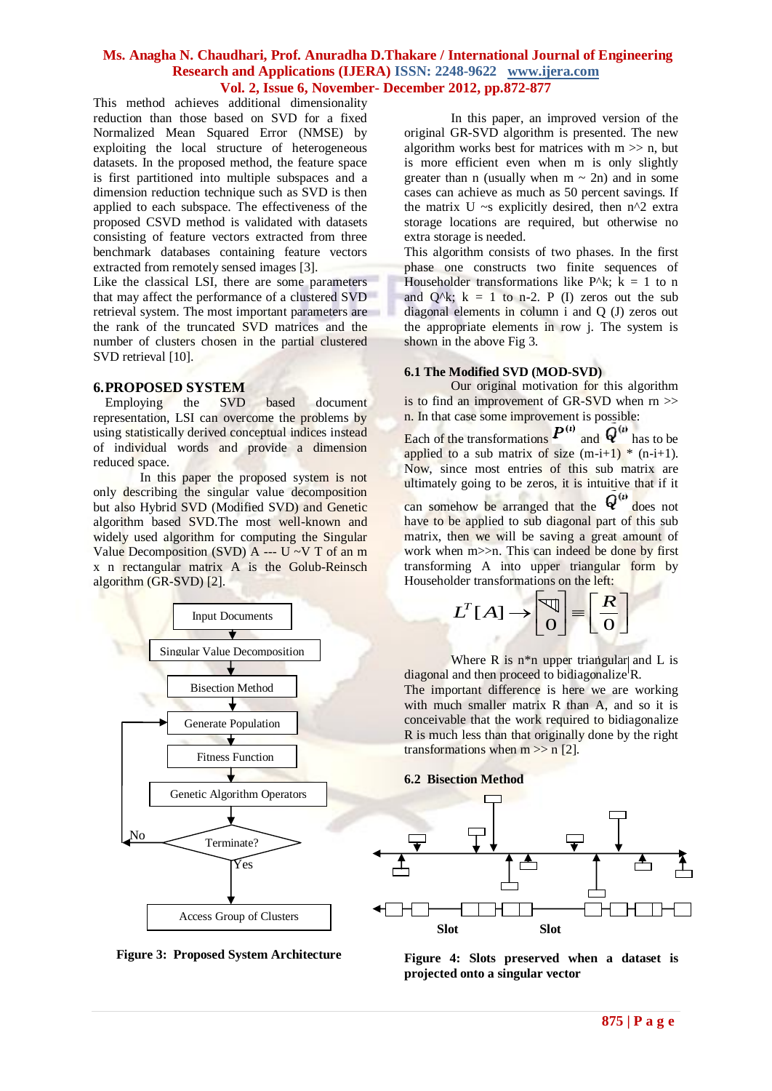This method achieves additional dimensionality reduction than those based on SVD for a fixed Normalized Mean Squared Error (NMSE) by exploiting the local structure of heterogeneous datasets. In the proposed method, the feature space is first partitioned into multiple subspaces and a dimension reduction technique such as SVD is then applied to each subspace. The effectiveness of the proposed CSVD method is validated with datasets consisting of feature vectors extracted from three benchmark databases containing feature vectors extracted from remotely sensed images [3].

Like the classical LSI, there are some parameters that may affect the performance of a clustered SVD retrieval system. The most important parameters are the rank of the truncated SVD matrices and the number of clusters chosen in the partial clustered SVD retrieval [10].

#### **6.PROPOSED SYSTEM**

Employing the SVD based document representation, LSI can overcome the problems by using statistically derived conceptual indices instead of individual words and provide a dimension reduced space.

In this paper the proposed system is not only describing the singular value decomposition but also Hybrid SVD (Modified SVD) and Genetic algorithm based SVD.The most well-known and widely used algorithm for computing the Singular Value Decomposition (SVD) A  $\overline{\phantom{a}}$  --- U ~V T of an m x n rectangular matrix A is the Golub-Reinsch algorithm (GR-SVD) [2].





In this paper, an improved version of the original GR-SVD algorithm is presented. The new algorithm works best for matrices with  $m \gg n$ , but is more efficient even when m is only slightly greater than n (usually when  $m \sim 2n$ ) and in some cases can achieve as much as 50 percent savings. If the matrix U  $\sim$ s explicitly desired, then n<sup> $\land$ 2</sup> extra storage locations are required, but otherwise no extra storage is needed.

This algorithm consists of two phases. In the first phase one constructs two finite sequences of Householder transformations like P^k;  $k = 1$  to n and  $Q^k$ ; k = 1 to n-2. P (I) zeros out the sub diagonal elements in column i and Q (J) zeros out the appropriate elements in row j. The system is shown in the above Fig 3.

#### **6.1 The Modified SVD (MOD-SVD)**

Our original motivation for this algorithm is to find an improvement of GR-SVD when rn >> n. In that case some improvement is possible:

Each of the transformations  $P^{(i)}$  and  $\overline{Q}^{(i)}$  has to be applied to a sub matrix of size  $(m-i+1)$  \*  $(n-i+1)$ . Now, since most entries of this sub matrix are ultimately going to be zeros, it is intuitive that if it can somehow be arranged that the  $Q^{(i)}$  does not have to be applied to sub diagonal part of this sub matrix, then we will be saving a great amount of work when m>>n. This can indeed be done by first transforming A into upper triangular form by Householder transformations on the left:

Let the transformation is on the left:  

$$
L^T[A] \rightarrow \begin{bmatrix} \mathbb{V} \\ \mathbb{O} \end{bmatrix} = \begin{bmatrix} R \\ \mathbb{O} \end{bmatrix}
$$

Where  $R$  is n<sup>\*</sup>n upper triangular and L is diagonal and then proceed to bidiagonalize R.

The important difference is here we are working with much smaller matrix R than A, and so it is conceivable that the work required to bidiagonalize R is much less than that originally done by the right transformations when  $m \gg n$  [2].





**Figure 4: Slots preserved when a dataset is projected onto a singular vector**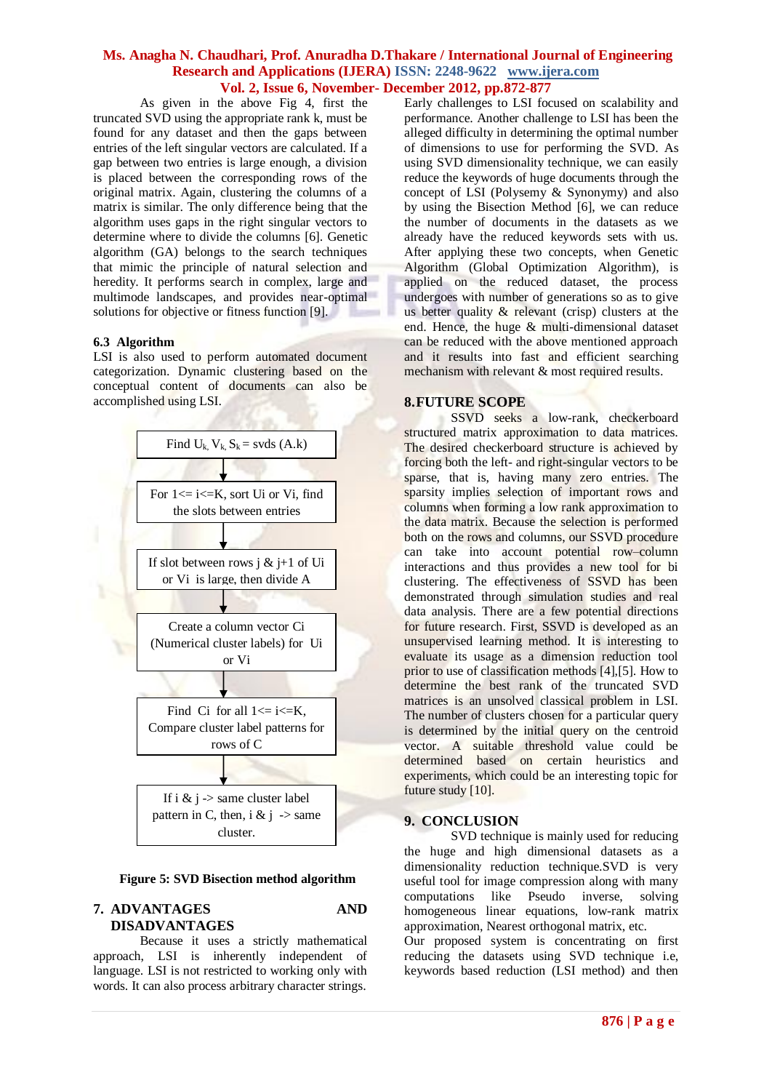As given in the above Fig 4, first the truncated SVD using the appropriate rank k, must be found for any dataset and then the gaps between entries of the left singular vectors are calculated. If a gap between two entries is large enough, a division is placed between the corresponding rows of the original matrix. Again, clustering the columns of a matrix is similar. The only difference being that the algorithm uses gaps in the right singular vectors to determine where to divide the columns [6]. Genetic algorithm (GA) belongs to the search techniques that mimic the principle of natural selection and heredity. It performs search in complex, large and multimode landscapes, and provides near-optimal solutions for objective or fitness function [9].

#### **6.3 Algorithm**

LSI is also used to perform automated document categorization. Dynamic clustering based on the conceptual content of documents can also be accomplished using LSI.



 **Figure 5: SVD Bisection method algorithm**

## **7. ADVANTAGES AND DISADVANTAGES**

Because it uses a strictly mathematical approach, LSI is inherently independent of language. LSI is not restricted to working only with words. It can also process arbitrary character strings.

Early challenges to LSI focused on scalability and performance. Another challenge to LSI has been the alleged difficulty in determining the optimal number of dimensions to use for performing the SVD. As using SVD dimensionality technique, we can easily reduce the keywords of huge documents through the concept of LSI (Polysemy & Synonymy) and also by using the Bisection Method [6], we can reduce the number of documents in the datasets as we already have the reduced keywords sets with us. After applying these two concepts, when Genetic Algorithm (Global Optimization Algorithm), is applied on the reduced dataset, the process undergoes with number of generations so as to give us better quality  $\&$  relevant (crisp) clusters at the end. Hence, the huge & multi-dimensional dataset can be reduced with the above mentioned approach and it results into fast and efficient searching mechanism with relevant & most required results.

#### **8.FUTURE SCOPE**

SSVD seeks a low-rank, checkerboard structured matrix approximation to data matrices. The desired checkerboard structure is achieved by forcing both the left- and right-singular vectors to be sparse, that is, having many zero entries. The sparsity implies selection of important rows and columns when forming a low rank approximation to the data matrix. Because the selection is performed both on the rows and columns, our SSVD procedure can take into account potential row–column interactions and thus provides a new tool for bi clustering. The effectiveness of SSVD has been demonstrated through simulation studies and real data analysis. There are a few potential directions for future research. First, SSVD is developed as an unsupervised learning method. It is interesting to evaluate its usage as a dimension reduction tool prior to use of classification methods [4],[5]. How to determine the best rank of the truncated SVD matrices is an unsolved classical problem in LSI. The number of clusters chosen for a particular query is determined by the initial query on the centroid vector. A suitable threshold value could be determined based on certain heuristics and experiments, which could be an interesting topic for future study [10].

## **9. CONCLUSION**

SVD technique is mainly used for reducing the huge and high dimensional datasets as a dimensionality reduction technique.SVD is very useful tool for image compression along with many computations like Pseudo inverse, solving homogeneous linear equations, low-rank matrix approximation, Nearest orthogonal matrix, etc.

Our proposed system is concentrating on first reducing the datasets using SVD technique i.e, keywords based reduction (LSI method) and then